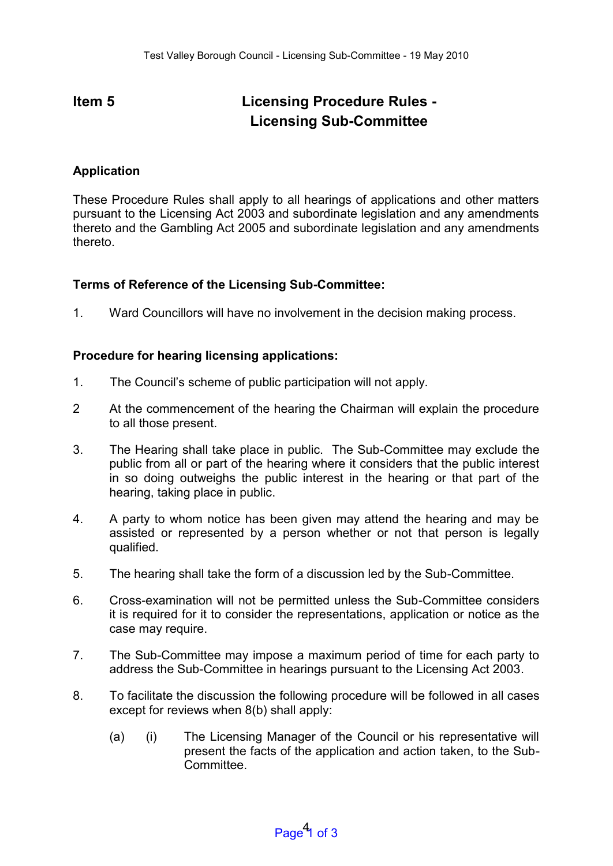## **Item 5 Licensing Procedure Rules -Licensing Sub-Committee**

## **Application**

These Procedure Rules shall apply to all hearings of applications and other matters pursuant to the Licensing Act 2003 and subordinate legislation and any amendments thereto and the Gambling Act 2005 and subordinate legislation and any amendments thereto.

## **Terms of Reference of the Licensing Sub-Committee:**

1. Ward Councillors will have no involvement in the decision making process.

## **Procedure for hearing licensing applications:**

- 1. The Council's scheme of public participation will not apply.
- 2 At the commencement of the hearing the Chairman will explain the procedure to all those present.
- 3. The Hearing shall take place in public. The Sub-Committee may exclude the public from all or part of the hearing where it considers that the public interest in so doing outweighs the public interest in the hearing or that part of the hearing, taking place in public.
- 4. A party to whom notice has been given may attend the hearing and may be assisted or represented by a person whether or not that person is legally qualified.
- 5. The hearing shall take the form of a discussion led by the Sub-Committee.
- 6. Cross-examination will not be permitted unless the Sub-Committee considers it is required for it to consider the representations, application or notice as the case may require.
- 7. The Sub-Committee may impose a maximum period of time for each party to address the Sub-Committee in hearings pursuant to the Licensing Act 2003.
- 8. To facilitate the discussion the following procedure will be followed in all cases except for reviews when 8(b) shall apply:
	- (a) (i) The Licensing Manager of the Council or his representative will present the facts of the application and action taken, to the Sub-Committee.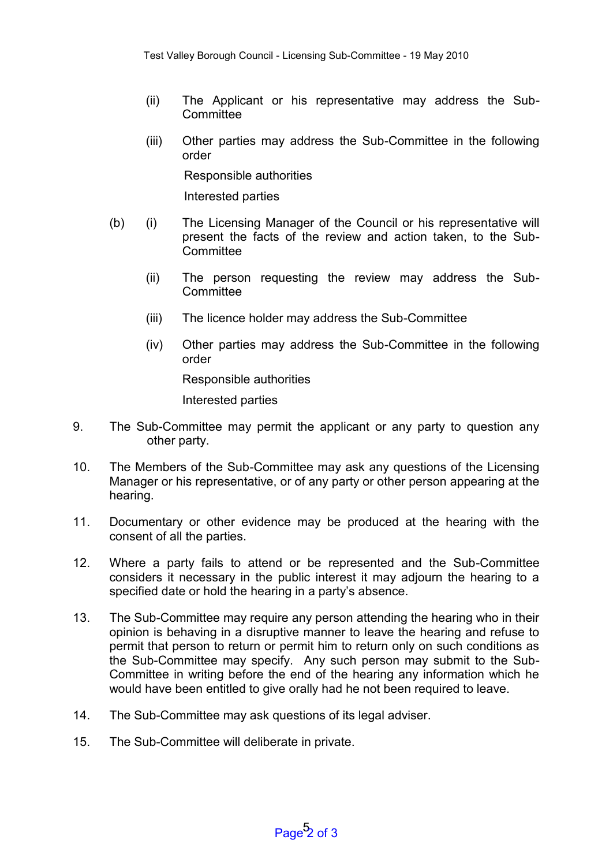- (ii) The Applicant or his representative may address the Sub-**Committee**
- (iii) Other parties may address the Sub-Committee in the following order

Responsible authorities

Interested parties

- (b) (i) The Licensing Manager of the Council or his representative will present the facts of the review and action taken, to the Sub-**Committee** 
	- (ii) The person requesting the review may address the Sub-**Committee**
	- (iii) The licence holder may address the Sub-Committee
	- (iv) Other parties may address the Sub-Committee in the following order

Responsible authorities

Interested parties

- 9. The Sub-Committee may permit the applicant or any party to question any other party.
- 10. The Members of the Sub-Committee may ask any questions of the Licensing Manager or his representative, or of any party or other person appearing at the hearing.
- 11. Documentary or other evidence may be produced at the hearing with the consent of all the parties.
- 12. Where a party fails to attend or be represented and the Sub-Committee considers it necessary in the public interest it may adjourn the hearing to a specified date or hold the hearing in a party's absence.
- 13. The Sub-Committee may require any person attending the hearing who in their opinion is behaving in a disruptive manner to leave the hearing and refuse to permit that person to return or permit him to return only on such conditions as the Sub-Committee may specify. Any such person may submit to the Sub-Committee in writing before the end of the hearing any information which he would have been entitled to give orally had he not been required to leave.
- 14. The Sub-Committee may ask questions of its legal adviser.
- 15. The Sub-Committee will deliberate in private.